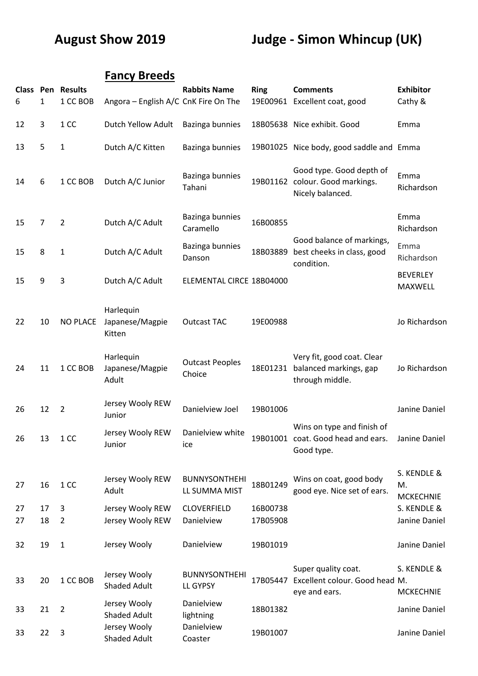## **August Show 2019 Judge - Simon Whincup (UK)**

## **Fancy Breeds**

| 6        | 1        | <b>Class Pen Results</b><br>1 CC BOB | Angora - English A/C CnK Fire On The   | <b>Rabbits Name</b>                   | <b>Ring</b>          | <b>Comments</b><br>19E00961 Excellent coat, good                                | <b>Exhibitor</b><br>Cathy &           |
|----------|----------|--------------------------------------|----------------------------------------|---------------------------------------|----------------------|---------------------------------------------------------------------------------|---------------------------------------|
| 12       | 3        | 1 CC                                 | Dutch Yellow Adult                     | Bazinga bunnies                       |                      | 18B05638 Nice exhibit. Good                                                     | Emma                                  |
| 13       | 5        | 1                                    | Dutch A/C Kitten                       | Bazinga bunnies                       |                      | 19B01025 Nice body, good saddle and Emma                                        |                                       |
| 14       | 6        | 1 CC BOB                             | Dutch A/C Junior                       | Bazinga bunnies<br>Tahani             |                      | Good type. Good depth of<br>19B01162 colour. Good markings.<br>Nicely balanced. | Emma<br>Richardson                    |
| 15       | 7        | $\overline{2}$                       | Dutch A/C Adult                        | Bazinga bunnies<br>Caramello          | 16B00855             |                                                                                 | Emma<br>Richardson                    |
| 15       | 8        | 1                                    | Dutch A/C Adult                        | Bazinga bunnies<br>Danson             | 18B03889             | Good balance of markings,<br>best cheeks in class, good<br>condition.           | Emma<br>Richardson                    |
| 15       | 9        | 3                                    | Dutch A/C Adult                        | ELEMENTAL CIRCE 18B04000              |                      |                                                                                 | <b>BEVERLEY</b><br>MAXWELL            |
| 22       | 10       | <b>NO PLACE</b>                      | Harlequin<br>Japanese/Magpie<br>Kitten | <b>Outcast TAC</b>                    | 19E00988             |                                                                                 | Jo Richardson                         |
| 24       | 11       | 1 CC BOB                             | Harlequin<br>Japanese/Magpie<br>Adult  | <b>Outcast Peoples</b><br>Choice      | 18E01231             | Very fit, good coat. Clear<br>balanced markings, gap<br>through middle.         | Jo Richardson                         |
| 26       | 12       | $\overline{2}$                       | Jersey Wooly REW<br>Junior             | Danielview Joel                       | 19B01006             |                                                                                 | Janine Daniel                         |
| 26       | 13       | 1 CC                                 | Jersey Wooly REW<br>Junior             | Danielview white<br>ice               |                      | Wins on type and finish of<br>19B01001 coat. Good head and ears.<br>Good type.  | Janine Daniel                         |
| 27       | 16       | 1 CC                                 | Jersey Wooly REW<br>Adult              | <b>BUNNYSONTHEHI</b><br>LL SUMMA MIST | 18B01249             | Wins on coat, good body<br>good eye. Nice set of ears.                          | S. KENDLE &<br>M.<br><b>MCKECHNIE</b> |
| 27<br>27 | 17<br>18 | 3<br>$\overline{2}$                  | Jersey Wooly REW<br>Jersey Wooly REW   | <b>CLOVERFIELD</b><br>Danielview      | 16B00738<br>17B05908 |                                                                                 | S. KENDLE &<br>Janine Daniel          |
| 32       | 19       | 1                                    | Jersey Wooly                           | Danielview                            | 19B01019             |                                                                                 | Janine Daniel                         |
| 33       | 20       | 1 CC BOB                             | Jersey Wooly<br><b>Shaded Adult</b>    | <b>BUNNYSONTHEHI</b><br>LL GYPSY      | 17B05447             | Super quality coat.<br>Excellent colour. Good head M.<br>eye and ears.          | S. KENDLE &<br><b>MCKECHNIE</b>       |
| 33       | 21       | $\overline{2}$                       | Jersey Wooly<br><b>Shaded Adult</b>    | Danielview<br>lightning               | 18B01382             |                                                                                 | Janine Daniel                         |
| 33       | 22       | 3                                    | Jersey Wooly<br><b>Shaded Adult</b>    | Danielview<br>Coaster                 | 19B01007             |                                                                                 | Janine Daniel                         |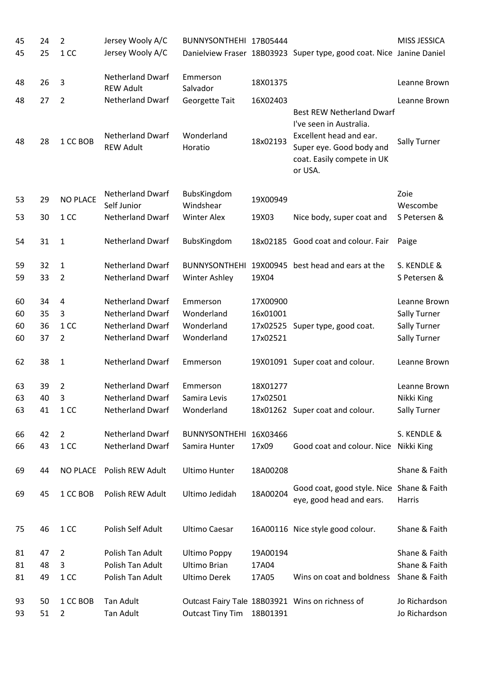| 45<br>45 | 24<br>25 | $\overline{2}$<br>1 CC | Jersey Wooly A/C<br>Jersey Wooly A/C        | BUNNYSONTHEHI 17B05444   |          | Danielview Fraser 18B03923 Super type, good coat. Nice Janine Daniel                                                                                        | MISS JESSICA                   |
|----------|----------|------------------------|---------------------------------------------|--------------------------|----------|-------------------------------------------------------------------------------------------------------------------------------------------------------------|--------------------------------|
| 48       | 26       | 3                      | <b>Netherland Dwarf</b><br><b>REW Adult</b> | Emmerson<br>Salvador     | 18X01375 |                                                                                                                                                             | Leanne Brown                   |
| 48       | 27       | $\overline{2}$         | <b>Netherland Dwarf</b>                     | Georgette Tait           | 16X02403 |                                                                                                                                                             | Leanne Brown                   |
| 48       | 28       | 1 CC BOB               | <b>Netherland Dwarf</b><br><b>REW Adult</b> | Wonderland<br>Horatio    | 18x02193 | <b>Best REW Netherland Dwarf</b><br>I've seen in Australia.<br>Excellent head and ear.<br>Super eye. Good body and<br>coat. Easily compete in UK<br>or USA. | Sally Turner                   |
| 53       | 29       | <b>NO PLACE</b>        | <b>Netherland Dwarf</b><br>Self Junior      | BubsKingdom<br>Windshear | 19X00949 |                                                                                                                                                             | Zoie<br>Wescombe               |
| 53       | 30       | 1 CC                   | <b>Netherland Dwarf</b>                     | <b>Winter Alex</b>       | 19X03    | Nice body, super coat and                                                                                                                                   | S Petersen &                   |
| 54       | 31       | $\mathbf{1}$           | <b>Netherland Dwarf</b>                     | BubsKingdom              | 18x02185 | Good coat and colour. Fair                                                                                                                                  | Paige                          |
| 59       | 32       | $\mathbf{1}$           | <b>Netherland Dwarf</b>                     | <b>BUNNYSONTHEHI</b>     | 19X00945 | best head and ears at the                                                                                                                                   | S. KENDLE &                    |
| 59       | 33       | $\overline{2}$         | <b>Netherland Dwarf</b>                     | Winter Ashley            | 19X04    |                                                                                                                                                             | S Petersen &                   |
| 60       | 34       | 4                      | <b>Netherland Dwarf</b>                     | Emmerson                 | 17X00900 |                                                                                                                                                             | Leanne Brown                   |
| 60       | 35       | 3                      | <b>Netherland Dwarf</b>                     | Wonderland               | 16x01001 |                                                                                                                                                             | <b>Sally Turner</b>            |
| 60       | 36       | 1 CC                   | <b>Netherland Dwarf</b>                     | Wonderland               |          | 17x02525 Super type, good coat.                                                                                                                             | Sally Turner                   |
| 60       | 37       | $\overline{2}$         | <b>Netherland Dwarf</b>                     | Wonderland               | 17x02521 |                                                                                                                                                             | Sally Turner                   |
| 62       | 38       | $\mathbf{1}$           | <b>Netherland Dwarf</b>                     | Emmerson                 |          | 19X01091 Super coat and colour.                                                                                                                             | Leanne Brown                   |
| 63       | 39       | $\overline{2}$         | <b>Netherland Dwarf</b>                     | Emmerson                 | 18X01277 |                                                                                                                                                             | Leanne Brown                   |
| 63       | 40       | 3                      | Netherland Dwarf                            | Samira Levis             | 17x02501 |                                                                                                                                                             | Nikki King                     |
| 63       | 41       | 1 CC                   | <b>Netherland Dwarf</b>                     | Wonderland               |          | 18x01262 Super coat and colour.                                                                                                                             | Sally Turner                   |
| 66       | 42       | $\overline{2}$         | <b>Netherland Dwarf</b>                     | <b>BUNNYSONTHEHI</b>     | 16X03466 |                                                                                                                                                             | S. KENDLE &                    |
| 66       | 43       | 1 CC                   | <b>Netherland Dwarf</b>                     | Samira Hunter            | 17x09    | Good coat and colour. Nice                                                                                                                                  | Nikki King                     |
| 69       | 44       | <b>NO PLACE</b>        | Polish REW Adult                            | <b>Ultimo Hunter</b>     | 18A00208 |                                                                                                                                                             | Shane & Faith                  |
| 69       | 45       | 1 CC BOB               | Polish REW Adult                            | Ultimo Jedidah           | 18A00204 | Good coat, good style. Nice Shane & Faith<br>eye, good head and ears.                                                                                       | Harris                         |
| 75       | 46       | 1 CC                   | Polish Self Adult                           | <b>Ultimo Caesar</b>     |          | 16A00116 Nice style good colour.                                                                                                                            | Shane & Faith                  |
| 81       | 47       | 2                      | Polish Tan Adult                            | <b>Ultimo Poppy</b>      | 19A00194 |                                                                                                                                                             | Shane & Faith                  |
| 81       | 48       | 3                      | Polish Tan Adult                            | <b>Ultimo Brian</b>      | 17A04    |                                                                                                                                                             | Shane & Faith                  |
| 81       | 49       | 1 CC                   | Polish Tan Adult                            | <b>Ultimo Derek</b>      | 17A05    | Wins on coat and boldness                                                                                                                                   | Shane & Faith                  |
| 93<br>93 | 50<br>51 | 1 CC BOB<br>2          | Tan Adult<br>Tan Adult                      | <b>Outcast Tiny Tim</b>  | 18B01391 | Outcast Fairy Tale 18B03921 Wins on richness of                                                                                                             | Jo Richardson<br>Jo Richardson |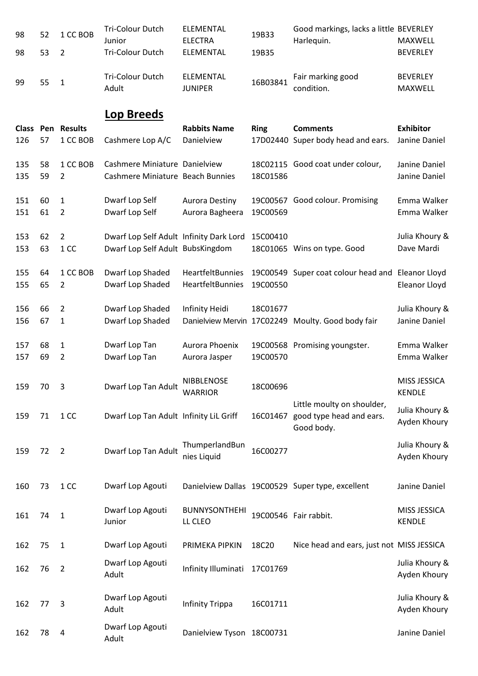| 98  | 52 | 1 CC BOB                 | <b>Tri-Colour Dutch</b><br>Junior       | <b>ELEMENTAL</b><br><b>ELECTRA</b>  | 19B33       | Good markings, lacks a little BEVERLEY<br>Harlequin. | MAXWELL                        |
|-----|----|--------------------------|-----------------------------------------|-------------------------------------|-------------|------------------------------------------------------|--------------------------------|
| 98  | 53 | $\overline{2}$           | Tri-Colour Dutch                        | ELEMENTAL                           | 19B35       |                                                      | <b>BEVERLEY</b>                |
| 99  | 55 | $\mathbf{1}$             | <b>Tri-Colour Dutch</b><br>Adult        | ELEMENTAL<br><b>JUNIPER</b>         | 16B03841    | Fair marking good<br>condition.                      | <b>BEVERLEY</b><br>MAXWELL     |
|     |    |                          | <b>Lop Breeds</b>                       |                                     |             |                                                      |                                |
|     |    | <b>Class Pen Results</b> |                                         | <b>Rabbits Name</b>                 | <b>Ring</b> | <b>Comments</b>                                      | <b>Exhibitor</b>               |
| 126 | 57 | 1 CC BOB                 | Cashmere Lop A/C                        | Danielview                          |             | 17D02440 Super body head and ears.                   | Janine Daniel                  |
| 135 | 58 | 1 CC BOB                 | Cashmere Miniature Danielview           |                                     |             | 18C02115 Good coat under colour,                     | Janine Daniel                  |
| 135 | 59 | $\overline{2}$           | Cashmere Miniature Beach Bunnies        |                                     | 18C01586    |                                                      | Janine Daniel                  |
| 151 | 60 | $\mathbf{1}$             | Dwarf Lop Self                          | <b>Aurora Destiny</b>               |             | 19C00567 Good colour. Promising                      | Emma Walker                    |
| 151 | 61 | $\overline{2}$           | Dwarf Lop Self                          | Aurora Bagheera                     | 19C00569    |                                                      | Emma Walker                    |
| 153 | 62 | $\overline{2}$           | Dwarf Lop Self Adult Infinity Dark Lord |                                     | 15C00410    |                                                      | Julia Khoury &                 |
| 153 | 63 | 1 CC                     | Dwarf Lop Self Adult BubsKingdom        |                                     |             | 18C01065 Wins on type. Good                          | Dave Mardi                     |
| 155 | 64 | 1 CC BOB                 | Dwarf Lop Shaded                        | HeartfeltBunnies                    |             | 19C00549 Super coat colour head and Eleanor Lloyd    |                                |
| 155 | 65 | $\overline{2}$           | Dwarf Lop Shaded                        | HeartfeltBunnies                    | 19C00550    |                                                      | Eleanor Lloyd                  |
| 156 | 66 | $\overline{2}$           | Dwarf Lop Shaded                        | Infinity Heidi                      | 18C01677    |                                                      | Julia Khoury &                 |
| 156 | 67 | 1                        | Dwarf Lop Shaded                        |                                     |             | Danielview Mervin 17C02249 Moulty. Good body fair    | Janine Daniel                  |
| 157 | 68 | $\mathbf{1}$             | Dwarf Lop Tan                           | Aurora Phoenix                      |             | 19C00568 Promising youngster.                        | Emma Walker                    |
| 157 | 69 | $\overline{2}$           | Dwarf Lop Tan                           | Aurora Jasper                       | 19C00570    |                                                      | Emma Walker                    |
|     |    |                          |                                         |                                     |             |                                                      |                                |
| 159 | 70 | 3                        | Dwarf Lop Tan Adult                     | <b>NIBBLENOSE</b><br><b>WARRIOR</b> | 18C00696    |                                                      | MISS JESSICA<br><b>KENDLE</b>  |
|     |    |                          |                                         |                                     |             | Little moulty on shoulder,                           |                                |
| 159 | 71 | 1 CC                     | Dwarf Lop Tan Adult Infinity LiL Griff  |                                     | 16C01467    | good type head and ears.                             | Julia Khoury &<br>Ayden Khoury |
|     |    |                          |                                         |                                     |             | Good body.                                           |                                |
| 159 | 72 | $\overline{2}$           | Dwarf Lop Tan Adult                     | ThumperlandBun                      | 16C00277    |                                                      | Julia Khoury &                 |
|     |    |                          |                                         | nies Liquid                         |             |                                                      | Ayden Khoury                   |
|     |    |                          |                                         |                                     |             |                                                      |                                |
| 160 | 73 | 1 CC                     | Dwarf Lop Agouti                        |                                     |             | Danielview Dallas 19C00529 Super type, excellent     | Janine Daniel                  |
| 161 | 74 | $\mathbf{1}$             | Dwarf Lop Agouti                        | <b>BUNNYSONTHEHI</b>                |             | 19C00546 Fair rabbit.                                | MISS JESSICA                   |
|     |    |                          | Junior                                  | LL CLEO                             |             |                                                      | <b>KENDLE</b>                  |
| 162 | 75 | $\mathbf{1}$             | Dwarf Lop Agouti                        | PRIMEKA PIPKIN                      | 18C20       | Nice head and ears, just not MISS JESSICA            |                                |
| 162 | 76 | $\overline{2}$           | Dwarf Lop Agouti                        | Infinity Illuminati                 | 17C01769    |                                                      | Julia Khoury &                 |
|     |    |                          | Adult                                   |                                     |             |                                                      | Ayden Khoury                   |
|     |    |                          | Dwarf Lop Agouti                        |                                     |             |                                                      | Julia Khoury &                 |
| 162 | 77 | 3                        | Adult                                   | <b>Infinity Trippa</b>              | 16C01711    |                                                      | Ayden Khoury                   |
| 162 | 78 | 4                        | Dwarf Lop Agouti                        | Danielview Tyson 18C00731           |             |                                                      | Janine Daniel                  |
|     |    |                          | Adult                                   |                                     |             |                                                      |                                |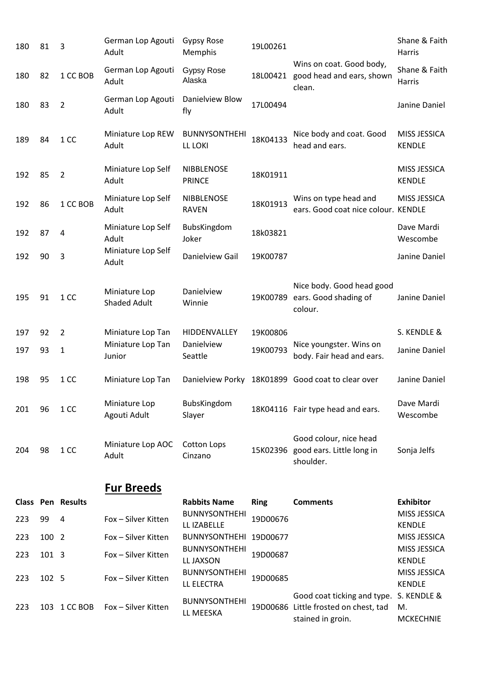| 180 | 81    | 3                        | German Lop Agouti<br>Adult           | <b>Gypsy Rose</b><br>Memphis        | 19L00261    |                                                                                           | Shane & Faith<br>Harris               |
|-----|-------|--------------------------|--------------------------------------|-------------------------------------|-------------|-------------------------------------------------------------------------------------------|---------------------------------------|
| 180 | 82    | 1 CC BOB                 | German Lop Agouti<br>Adult           | <b>Gypsy Rose</b><br>Alaska         |             | Wins on coat. Good body,<br>18L00421 good head and ears, shown<br>clean.                  | Shane & Faith<br>Harris               |
| 180 | 83    | $\overline{2}$           | German Lop Agouti<br>Adult           | Danielview Blow<br>fly              | 17L00494    |                                                                                           | Janine Daniel                         |
| 189 | 84    | 1 CC                     | Miniature Lop REW<br>Adult           | <b>BUNNYSONTHEHI</b><br>LL LOKI     | 18K04133    | Nice body and coat. Good<br>head and ears.                                                | MISS JESSICA<br><b>KENDLE</b>         |
| 192 | 85    | $\overline{2}$           | Miniature Lop Self<br>Adult          | <b>NIBBLENOSE</b><br><b>PRINCE</b>  | 18K01911    |                                                                                           | MISS JESSICA<br><b>KENDLE</b>         |
| 192 | 86    | 1 CC BOB                 | Miniature Lop Self<br>Adult          | NIBBLENOSE<br><b>RAVEN</b>          | 18K01913    | Wins on type head and<br>ears. Good coat nice colour. KENDLE                              | MISS JESSICA                          |
| 192 | 87    | 4                        | Miniature Lop Self<br>Adult          | BubsKingdom<br>Joker                | 18k03821    |                                                                                           | Dave Mardi<br>Wescombe                |
| 192 | 90    | 3                        | Miniature Lop Self<br>Adult          | Danielview Gail                     | 19K00787    |                                                                                           | Janine Daniel                         |
| 195 | 91    | 1 CC                     | Miniature Lop<br><b>Shaded Adult</b> | Danielview<br>Winnie                | 19K00789    | Nice body. Good head good<br>ears. Good shading of<br>colour.                             | Janine Daniel                         |
| 197 | 92    | $\overline{2}$           | Miniature Lop Tan                    | HIDDENVALLEY                        | 19K00806    |                                                                                           | S. KENDLE &                           |
| 197 | 93    | $\mathbf{1}$             | Miniature Lop Tan<br>Junior          | Danielview<br>Seattle               | 19K00793    | Nice youngster. Wins on<br>body. Fair head and ears.                                      | Janine Daniel                         |
| 198 | 95    | 1 CC                     | Miniature Lop Tan                    |                                     |             | Danielview Porky 18K01899 Good coat to clear over                                         | Janine Daniel                         |
| 201 | 96    | 1 CC                     | Miniature Lop<br>Agouti Adult        | BubsKingdom<br>Slayer               |             | 18K04116 Fair type head and ears.                                                         | Dave Mardi<br>Wescombe                |
| 204 | 98    | 1 CC                     | Miniature Lop AOC<br>Adult           | <b>Cotton Lops</b><br>Cinzano       | 15K02396    | Good colour, nice head<br>good ears. Little long in<br>shoulder.                          | Sonja Jelfs                           |
|     |       |                          | <u>Fur Breeds</u>                    |                                     |             |                                                                                           |                                       |
|     |       | <b>Class Pen Results</b> |                                      | <b>Rabbits Name</b>                 | <b>Ring</b> | <b>Comments</b>                                                                           | <b>Exhibitor</b>                      |
| 223 | 99    | 4                        | Fox - Silver Kitten                  | <b>BUNNYSONTHEHI</b><br>LL IZABELLE | 19D00676    |                                                                                           | MISS JESSICA<br><b>KENDLE</b>         |
| 223 | 100 2 |                          | Fox - Silver Kitten                  | <b>BUNNYSONTHEHI</b>                | 19D00677    |                                                                                           | MISS JESSICA                          |
| 223 | 101 3 |                          | Fox - Silver Kitten                  | <b>BUNNYSONTHEHI</b><br>LL JAXSON   | 19D00687    |                                                                                           | MISS JESSICA<br><b>KENDLE</b>         |
| 223 | 102 5 |                          | Fox - Silver Kitten                  | <b>BUNNYSONTHEHI</b><br>LL ELECTRA  | 19D00685    |                                                                                           | MISS JESSICA<br><b>KENDLE</b>         |
| 223 |       | 103 1 CC BOB             | Fox - Silver Kitten                  | <b>BUNNYSONTHEHI</b><br>LL MEESKA   |             | Good coat ticking and type.<br>19D00686 Little frosted on chest, tad<br>stained in groin. | S. KENDLE &<br>M.<br><b>MCKECHNIE</b> |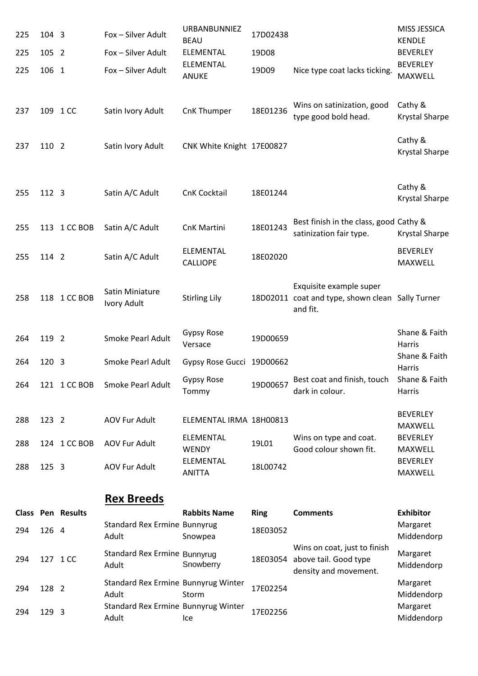| 225 | 104 3 |                          | Fox - Silver Adult                           | URBANBUNNIEZ<br><b>BEAU</b>      | 17D02438    |                                                                                         | MISS JESSICA<br><b>KENDLE</b>     |
|-----|-------|--------------------------|----------------------------------------------|----------------------------------|-------------|-----------------------------------------------------------------------------------------|-----------------------------------|
| 225 | 105 2 |                          | Fox - Silver Adult                           | <b>ELEMENTAL</b>                 | 19D08       |                                                                                         | <b>BEVERLEY</b>                   |
| 225 | 106 1 |                          | Fox - Silver Adult                           | ELEMENTAL<br><b>ANUKE</b>        | 19D09       | Nice type coat lacks ticking.                                                           | <b>BEVERLEY</b><br><b>MAXWELL</b> |
| 237 |       | 109 1 CC                 | Satin Ivory Adult                            | CnK Thumper                      | 18E01236    | Wins on satinization, good<br>type good bold head.                                      | Cathy &<br>Krystal Sharpe         |
| 237 | 110 2 |                          | Satin Ivory Adult                            | CNK White Knight 17E00827        |             |                                                                                         | Cathy &<br>Krystal Sharpe         |
| 255 | 112 3 |                          | Satin A/C Adult                              | <b>CnK Cocktail</b>              | 18E01244    |                                                                                         | Cathy &<br>Krystal Sharpe         |
| 255 |       | 113 1 CC BOB             | Satin A/C Adult                              | CnK Martini                      | 18E01243    | Best finish in the class, good Cathy &<br>satinization fair type.                       | Krystal Sharpe                    |
| 255 | 114 2 |                          | Satin A/C Adult                              | ELEMENTAL<br><b>CALLIOPE</b>     | 18E02020    |                                                                                         | <b>BEVERLEY</b><br><b>MAXWELL</b> |
| 258 |       | 118 1 CC BOB             | Satin Miniature<br>Ivory Adult               | <b>Stirling Lily</b>             |             | Exquisite example super<br>18D02011 coat and type, shown clean Sally Turner<br>and fit. |                                   |
| 264 | 119 2 |                          | Smoke Pearl Adult                            | Gypsy Rose<br>Versace            | 19D00659    |                                                                                         | Shane & Faith<br>Harris           |
| 264 | 120 3 |                          | Smoke Pearl Adult                            | Gypsy Rose Gucci                 | 19D00662    |                                                                                         | Shane & Faith<br>Harris           |
| 264 |       | 121 1 CC BOB             | Smoke Pearl Adult                            | <b>Gypsy Rose</b><br>Tommy       | 19D00657    | Best coat and finish, touch<br>dark in colour.                                          | Shane & Faith<br>Harris           |
| 288 | 123 2 |                          | <b>AOV Fur Adult</b>                         | ELEMENTAL IRMA 18H00813          |             |                                                                                         | <b>BEVERLEY</b><br>MAXWELL        |
| 288 |       | 124 1 CC BOB             | <b>AOV Fur Adult</b>                         | <b>ELEMENTAL</b><br><b>WENDY</b> | 19L01       | Wins on type and coat.<br>Good colour shown fit.                                        | <b>BEVERLEY</b><br>MAXWELL        |
| 288 | 125 3 |                          | <b>AOV Fur Adult</b>                         | ELEMENTAL<br><b>ANITTA</b>       | 18L00742    |                                                                                         | <b>BEVERLEY</b><br>MAXWELL        |
|     |       |                          | <b>Rex Breeds</b>                            |                                  |             |                                                                                         |                                   |
|     |       | <b>Class Pen Results</b> |                                              | <b>Rabbits Name</b>              | <b>Ring</b> | <b>Comments</b>                                                                         | <b>Exhibitor</b>                  |
| 294 | 126 4 |                          | <b>Standard Rex Ermine Bunnyrug</b><br>Adult | Snowpea                          | 18E03052    |                                                                                         | Margaret<br>Middendorp            |
| 294 |       | 127 1 CC                 | Standard Rex Ermine Bunnyrug<br>Adult        | Snowberry                        |             | Wins on coat, just to finish<br>18E03054 above tail. Good type<br>density and movement. | Margaret<br>Middendorp            |
| 294 | 128 2 |                          | Standard Rex Ermine Bunnyrug Winter<br>Adult | Storm                            | 17E02254    |                                                                                         | Margaret<br>Middendorp            |
| 294 | 129 3 |                          | Standard Rex Ermine Bunnyrug Winter<br>Adult | Ice                              | 17E02256    |                                                                                         | Margaret<br>Middendorp            |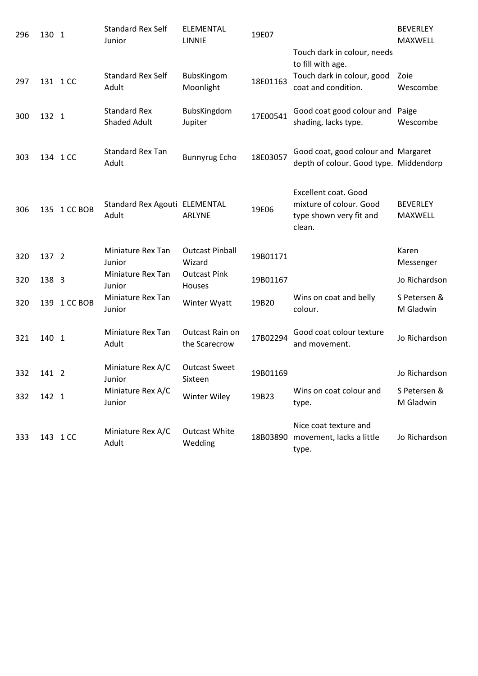| 296 | 130 1 |              | <b>Standard Rex Self</b><br>Junior         | ELEMENTAL<br><b>LINNIE</b>       | 19E07    |                                                                                             | <b>BEVERLEY</b><br><b>MAXWELL</b> |
|-----|-------|--------------|--------------------------------------------|----------------------------------|----------|---------------------------------------------------------------------------------------------|-----------------------------------|
|     |       |              |                                            |                                  |          | Touch dark in colour, needs<br>to fill with age.                                            |                                   |
| 297 |       | 131 1 CC     | <b>Standard Rex Self</b><br>Adult          | BubsKingom<br>Moonlight          | 18E01163 | Touch dark in colour, good<br>coat and condition.                                           | Zoie<br>Wescombe                  |
| 300 | 132 1 |              | <b>Standard Rex</b><br><b>Shaded Adult</b> | BubsKingdom<br>Jupiter           | 17E00541 | Good coat good colour and<br>shading, lacks type.                                           | Paige<br>Wescombe                 |
| 303 |       | 134 1 CC     | <b>Standard Rex Tan</b><br>Adult           | <b>Bunnyrug Echo</b>             | 18E03057 | Good coat, good colour and Margaret<br>depth of colour. Good type. Middendorp               |                                   |
| 306 |       | 135 1 CC BOB | Standard Rex Agouti ELEMENTAL<br>Adult     | <b>ARLYNE</b>                    | 19E06    | <b>Excellent coat. Good</b><br>mixture of colour. Good<br>type shown very fit and<br>clean. | <b>BEVERLEY</b><br><b>MAXWELL</b> |
| 320 | 137 2 |              | Miniature Rex Tan<br>Junior                | <b>Outcast Pinball</b><br>Wizard | 19B01171 |                                                                                             | Karen<br>Messenger                |
| 320 | 138 3 |              | Miniature Rex Tan<br>Junior                | <b>Outcast Pink</b><br>Houses    | 19B01167 |                                                                                             | Jo Richardson                     |
| 320 |       | 139 1 CC BOB | Miniature Rex Tan<br>Junior                | Winter Wyatt                     | 19B20    | Wins on coat and belly<br>colour.                                                           | S Petersen &<br>M Gladwin         |
| 321 | 140 1 |              | Miniature Rex Tan<br>Adult                 | Outcast Rain on<br>the Scarecrow | 17B02294 | Good coat colour texture<br>and movement.                                                   | Jo Richardson                     |
| 332 | 141 2 |              | Miniature Rex A/C<br>Junior                | <b>Outcast Sweet</b><br>Sixteen  | 19B01169 |                                                                                             | Jo Richardson                     |
| 332 | 142 1 |              | Miniature Rex A/C<br>Junior                | Winter Wiley                     | 19B23    | Wins on coat colour and<br>type.                                                            | S Petersen &<br>M Gladwin         |
| 333 |       | 143 1 CC     | Miniature Rex A/C<br>Adult                 | <b>Outcast White</b><br>Wedding  |          | Nice coat texture and<br>18B03890 movement, lacks a little<br>type.                         | Jo Richardson                     |